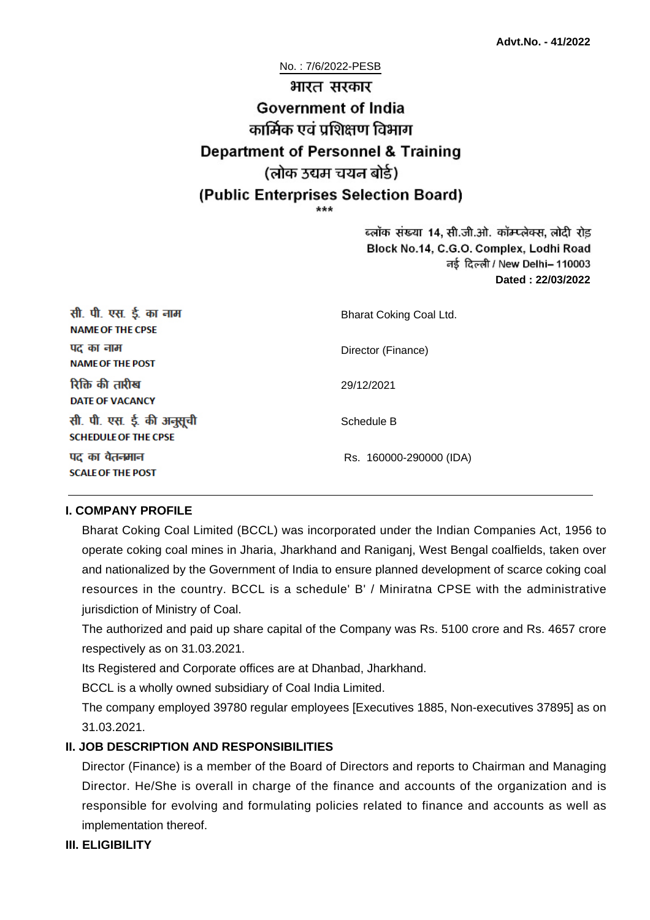No. : 7/6/2022-PESB भारत सरकार **Government of India** कार्मिक एवं पशिक्षण विभाग **Department of Personnel & Training** (लोक उद्यम चयन बोर्ड) (Public Enterprises Selection Board)

> ब्लॉक संख्या 14, सी.जी.ओ. कॉम्प्लेक्स, लोदी रोड Block No.14, C.G.O. Complex, Lodhi Road ਰई दिल्ली / New Delhi– 110003 **Dated : 22/03/2022**

| सी. पी. एस. ई. का नाम<br><b>NAME OF THE CPSE</b>         | Bharat Coking Coal Ltd. |
|----------------------------------------------------------|-------------------------|
| पद का नाम<br><b>NAME OF THE POST</b>                     | Director (Finance)      |
| रिक्ति की तारीख<br><b>DATE OF VACANCY</b>                | 29/12/2021              |
| सी. पी. एस. ई. की अनुसूची<br><b>SCHEDULE OF THE CPSE</b> | Schedule B              |
| पद का वेतनमान<br><b>SCALE OF THE POST</b>                | Rs. 160000-290000 (IDA) |

### **I. COMPANY PROFILE**

Bharat Coking Coal Limited (BCCL) was incorporated under the Indian Companies Act, 1956 to operate coking coal mines in Jharia, Jharkhand and Raniganj, West Bengal coalfields, taken over and nationalized by the Government of India to ensure planned development of scarce coking coal resources in the country. BCCL is a schedule' B' / Miniratna CPSE with the administrative jurisdiction of Ministry of Coal.

The authorized and paid up share capital of the Company was Rs. 5100 crore and Rs. 4657 crore respectively as on 31.03.2021.

Its Registered and Corporate offices are at Dhanbad, Jharkhand.

BCCL is a wholly owned subsidiary of Coal India Limited.

The company employed 39780 regular employees [Executives 1885, Non-executives 37895] as on 31.03.2021.

### **II. JOB DESCRIPTION AND RESPONSIBILITIES**

Director (Finance) is a member of the Board of Directors and reports to Chairman and Managing Director. He/She is overall in charge of the finance and accounts of the organization and is responsible for evolving and formulating policies related to finance and accounts as well as implementation thereof.

### **III. ELIGIBILITY**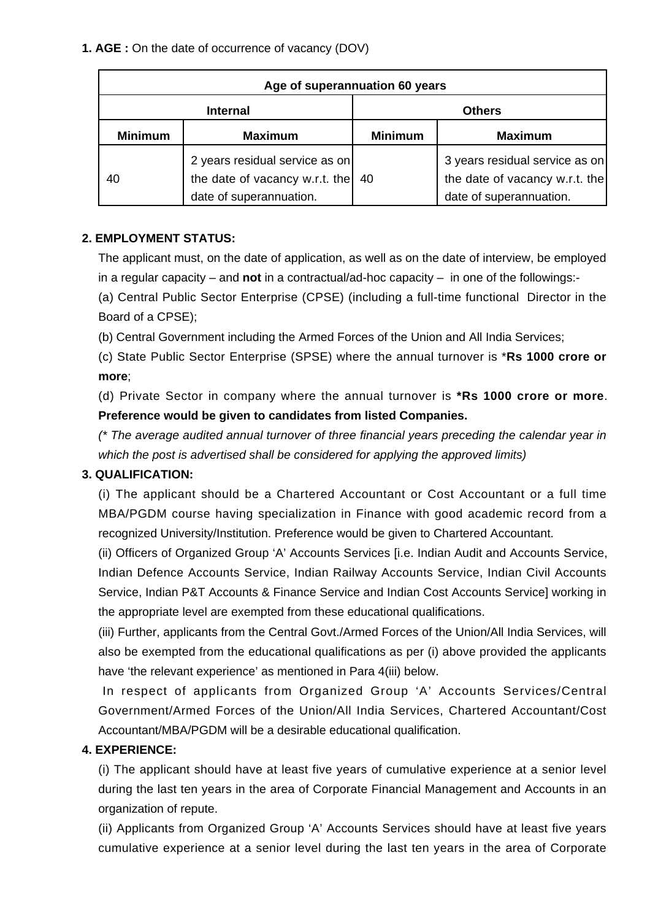| Age of superannuation 60 years |                                                                                             |                |                                                                                             |
|--------------------------------|---------------------------------------------------------------------------------------------|----------------|---------------------------------------------------------------------------------------------|
| <b>Internal</b>                |                                                                                             | <b>Others</b>  |                                                                                             |
| <b>Minimum</b>                 | <b>Maximum</b>                                                                              | <b>Minimum</b> | <b>Maximum</b>                                                                              |
| 40                             | 2 years residual service as on<br>the date of vacancy w.r.t. the<br>date of superannuation. | 40             | 3 years residual service as on<br>the date of vacancy w.r.t. the<br>date of superannuation. |

### **2. EMPLOYMENT STATUS:**

The applicant must, on the date of application, as well as on the date of interview, be employed in a regular capacity – and **not** in a contractual/ad-hoc capacity – in one of the followings:-

(a) Central Public Sector Enterprise (CPSE) (including a full-time functional Director in the Board of a CPSE);

(b) Central Government including the Armed Forces of the Union and All India Services;

(c) State Public Sector Enterprise (SPSE) where the annual turnover is \***Rs 1000 crore or more**;

(d) Private Sector in company where the annual turnover is **\*Rs 1000 crore or more**. **Preference would be given to candidates from listed Companies.**

(\* The average audited annual turnover of three financial years preceding the calendar year in which the post is advertised shall be considered for applying the approved limits)

## **3. QUALIFICATION:**

(i) The applicant should be a Chartered Accountant or Cost Accountant or a full time MBA/PGDM course having specialization in Finance with good academic record from a recognized University/Institution. Preference would be given to Chartered Accountant.

(ii) Officers of Organized Group 'A' Accounts Services [i.e. Indian Audit and Accounts Service, Indian Defence Accounts Service, Indian Railway Accounts Service, Indian Civil Accounts Service, Indian P&T Accounts & Finance Service and Indian Cost Accounts Service] working in the appropriate level are exempted from these educational qualifications.

(iii) Further, applicants from the Central Govt./Armed Forces of the Union/All India Services, will also be exempted from the educational qualifications as per (i) above provided the applicants have 'the relevant experience' as mentioned in Para 4(iii) below.

 In respect of applicants from Organized Group 'A' Accounts Services/Central Government/Armed Forces of the Union/All India Services, Chartered Accountant/Cost Accountant/MBA/PGDM will be a desirable educational qualification.

### **4. EXPERIENCE:**

(i) The applicant should have at least five years of cumulative experience at a senior level during the last ten years in the area of Corporate Financial Management and Accounts in an organization of repute.

(ii) Applicants from Organized Group 'A' Accounts Services should have at least five years cumulative experience at a senior level during the last ten years in the area of Corporate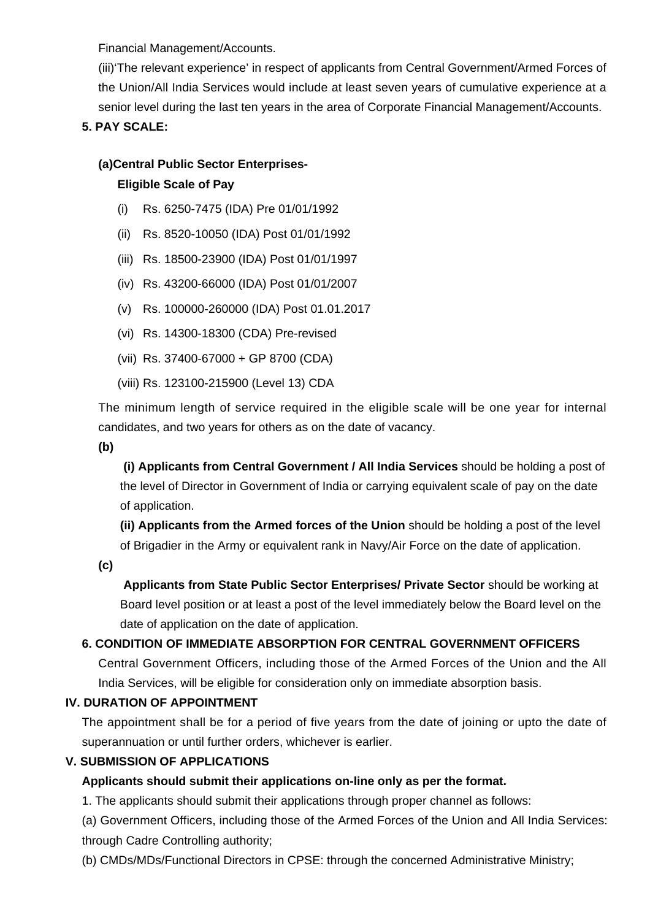Financial Management/Accounts.

(iii)'The relevant experience' in respect of applicants from Central Government/Armed Forces of the Union/All India Services would include at least seven years of cumulative experience at a senior level during the last ten years in the area of Corporate Financial Management/Accounts.

# **5. PAY SCALE:**

### **(a)Central Public Sector Enterprises-**

### **Eligible Scale of Pay**

- (i) Rs. 6250-7475 (IDA) Pre 01/01/1992
- (ii) Rs. 8520-10050 (IDA) Post 01/01/1992
- (iii) Rs. 18500-23900 (IDA) Post 01/01/1997
- (iv) Rs. 43200-66000 (IDA) Post 01/01/2007
- (v) Rs. 100000-260000 (IDA) Post 01.01.2017
- (vi) Rs. 14300-18300 (CDA) Pre-revised
- (vii) Rs. 37400-67000 + GP 8700 (CDA)
- (viii) Rs. 123100-215900 (Level 13) CDA

The minimum length of service required in the eligible scale will be one year for internal candidates, and two years for others as on the date of vacancy.

**(b)**

**(i) Applicants from Central Government / All India Services** should be holding a post of the level of Director in Government of India or carrying equivalent scale of pay on the date of application.

**(ii) Applicants from the Armed forces of the Union** should be holding a post of the level of Brigadier in the Army or equivalent rank in Navy/Air Force on the date of application.

**(c)**

 **Applicants from State Public Sector Enterprises/ Private Sector** should be working at Board level position or at least a post of the level immediately below the Board level on the date of application on the date of application.

# **6. CONDITION OF IMMEDIATE ABSORPTION FOR CENTRAL GOVERNMENT OFFICERS**

Central Government Officers, including those of the Armed Forces of the Union and the All India Services, will be eligible for consideration only on immediate absorption basis.

## **IV. DURATION OF APPOINTMENT**

The appointment shall be for a period of five years from the date of joining or upto the date of superannuation or until further orders, whichever is earlier.

## **V. SUBMISSION OF APPLICATIONS**

# **Applicants should submit their applications on-line only as per the format.**

1. The applicants should submit their applications through proper channel as follows:

(a) Government Officers, including those of the Armed Forces of the Union and All India Services: through Cadre Controlling authority;

(b) CMDs/MDs/Functional Directors in CPSE: through the concerned Administrative Ministry;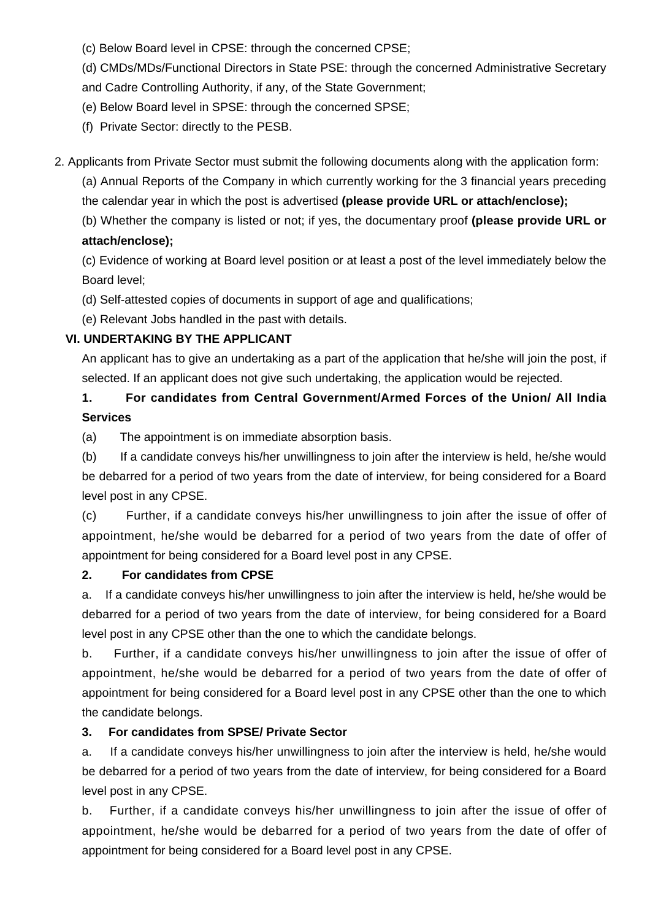(c) Below Board level in CPSE: through the concerned CPSE;

(d) CMDs/MDs/Functional Directors in State PSE: through the concerned Administrative Secretary and Cadre Controlling Authority, if any, of the State Government;

(e) Below Board level in SPSE: through the concerned SPSE;

(f) Private Sector: directly to the PESB.

2. Applicants from Private Sector must submit the following documents along with the application form:

(a) Annual Reports of the Company in which currently working for the 3 financial years preceding the calendar year in which the post is advertised **(please provide URL or attach/enclose);**

(b) Whether the company is listed or not; if yes, the documentary proof **(please provide URL or attach/enclose);**

(c) Evidence of working at Board level position or at least a post of the level immediately below the Board level;

(d) Self-attested copies of documents in support of age and qualifications;

(e) Relevant Jobs handled in the past with details.

## **VI. UNDERTAKING BY THE APPLICANT**

An applicant has to give an undertaking as a part of the application that he/she will join the post, if selected. If an applicant does not give such undertaking, the application would be rejected.

# **1. For candidates from Central Government/Armed Forces of the Union/ All India Services**

(a) The appointment is on immediate absorption basis.

(b) If a candidate conveys his/her unwillingness to join after the interview is held, he/she would be debarred for a period of two years from the date of interview, for being considered for a Board level post in any CPSE.

(c) Further, if a candidate conveys his/her unwillingness to join after the issue of offer of appointment, he/she would be debarred for a period of two years from the date of offer of appointment for being considered for a Board level post in any CPSE.

## **2. For candidates from CPSE**

a. If a candidate conveys his/her unwillingness to join after the interview is held, he/she would be debarred for a period of two years from the date of interview, for being considered for a Board level post in any CPSE other than the one to which the candidate belongs.

b. Further, if a candidate conveys his/her unwillingness to join after the issue of offer of appointment, he/she would be debarred for a period of two years from the date of offer of appointment for being considered for a Board level post in any CPSE other than the one to which the candidate belongs.

## **3. For candidates from SPSE/ Private Sector**

a. If a candidate conveys his/her unwillingness to join after the interview is held, he/she would be debarred for a period of two years from the date of interview, for being considered for a Board level post in any CPSE.

b. Further, if a candidate conveys his/her unwillingness to join after the issue of offer of appointment, he/she would be debarred for a period of two years from the date of offer of appointment for being considered for a Board level post in any CPSE.